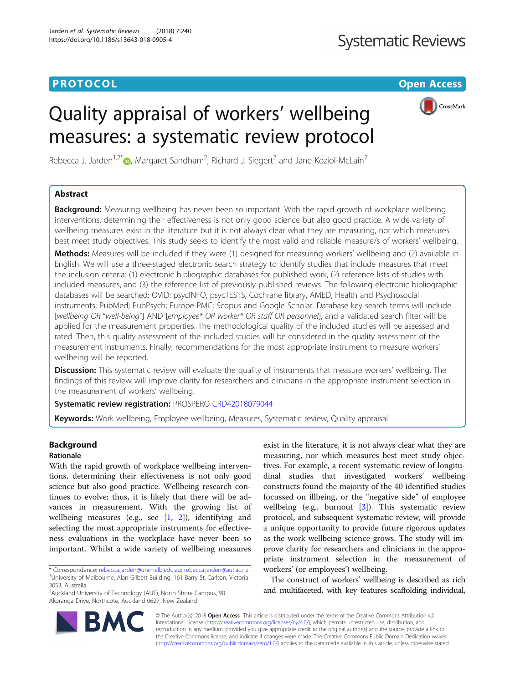## **PROTOCOL CONSUMING THE OPEN ACCESS**

CrossMark

# Quality appraisal of workers' wellbeing measures: a systematic review protocol

Rebecca J. Jarden<sup>1,2[\\*](http://orcid.org/0000-0003-4643-7147)</sup> $\bullet$ , Margaret Sandham<sup>2</sup>, Richard J. Siegert<sup>2</sup> and Jane Koziol-McLain<sup>2</sup>

## Abstract

**Background:** Measuring wellbeing has never been so important. With the rapid growth of workplace wellbeing interventions, determining their effectiveness is not only good science but also good practice. A wide variety of wellbeing measures exist in the literature but it is not always clear what they are measuring, nor which measures best meet study objectives. This study seeks to identify the most valid and reliable measure/s of workers' wellbeing.

Methods: Measures will be included if they were (1) designed for measuring workers' wellbeing and (2) available in English. We will use a three-staged electronic search strategy to identify studies that include measures that meet the inclusion criteria: (1) electronic bibliographic databases for published work, (2) reference lists of studies with included measures, and (3) the reference list of previously published reviews. The following electronic bibliographic databases will be searched: OVID: psycINFO, psycTESTS, Cochrane library, AMED, Health and Psychosocial instruments; PubMed; PubPsych; Europe PMC; Scopus and Google Scholar. Database key search terms will include [wellbeing OR "well-being"] AND [employee\* OR worker\* OR staff OR personnel], and a validated search filter will be applied for the measurement properties. The methodological quality of the included studies will be assessed and rated. Then, this quality assessment of the included studies will be considered in the quality assessment of the measurement instruments. Finally, recommendations for the most appropriate instrument to measure workers' wellbeing will be reported.

Discussion: This systematic review will evaluate the quality of instruments that measure workers' wellbeing. The findings of this review will improve clarity for researchers and clinicians in the appropriate instrument selection in the measurement of workers' wellbeing.

Systematic review registration: PROSPERO [CRD42018079044](https://www.crd.york.ac.uk/prospero/display_record.php?RecordID=79044)

Keywords: Work wellbeing, Employee wellbeing, Measures, Systematic review, Quality appraisal

## Background

## Rationale

With the rapid growth of workplace wellbeing interventions, determining their effectiveness is not only good science but also good practice. Wellbeing research continues to evolve; thus, it is likely that there will be advances in measurement. With the growing list of wellbeing measures (e.g., see [[1,](#page-3-0) [2](#page-3-0)]), identifying and selecting the most appropriate instruments for effectiveness evaluations in the workplace have never been so important. Whilst a wide variety of wellbeing measures

\* Correspondence: [rebecca.jarden@unimelb.edu.au](mailto:rebecca.jarden@unimelb.edu.au); [rebecca.jarden@aut.ac.nz](mailto:rebecca.jarden@aut.ac.nz) <sup>1</sup> <sup>1</sup>University of Melbourne, Alan Gilbert Building, 161 Barry St, Carlton, Victoria 3053, Australia

<sup>2</sup> Auckland University of Technology (AUT), North Shore Campus, 90 Akoranga Drive, Northcote, Auckland 0627, New Zealand

exist in the literature, it is not always clear what they are measuring, nor which measures best meet study objectives. For example, a recent systematic review of longitudinal studies that investigated workers' wellbeing constructs found the majority of the 40 identified studies focussed on illbeing, or the "negative side" of employee wellbeing (e.g., burnout [\[3](#page-3-0)]). This systematic review protocol, and subsequent systematic review, will provide a unique opportunity to provide future rigorous updates as the work wellbeing science grows. The study will improve clarity for researchers and clinicians in the appropriate instrument selection in the measurement of workers' (or employees') wellbeing.

The construct of workers' wellbeing is described as rich and multifaceted, with key features scaffolding individual,



© The Author(s). 2018 Open Access This article is distributed under the terms of the Creative Commons Attribution 4.0 International License [\(http://creativecommons.org/licenses/by/4.0/](http://creativecommons.org/licenses/by/4.0/)), which permits unrestricted use, distribution, and reproduction in any medium, provided you give appropriate credit to the original author(s) and the source, provide a link to the Creative Commons license, and indicate if changes were made. The Creative Commons Public Domain Dedication waiver [\(http://creativecommons.org/publicdomain/zero/1.0/](http://creativecommons.org/publicdomain/zero/1.0/)) applies to the data made available in this article, unless otherwise stated.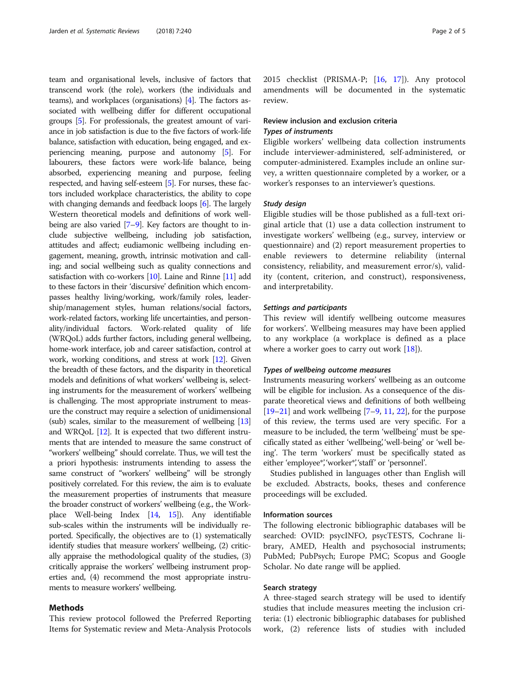team and organisational levels, inclusive of factors that transcend work (the role), workers (the individuals and teams), and workplaces (organisations) [\[4\]](#page-3-0). The factors associated with wellbeing differ for different occupational groups [\[5\]](#page-3-0). For professionals, the greatest amount of variance in job satisfaction is due to the five factors of work-life balance, satisfaction with education, being engaged, and experiencing meaning, purpose and autonomy [[5](#page-3-0)]. For labourers, these factors were work-life balance, being absorbed, experiencing meaning and purpose, feeling respected, and having self-esteem [[5\]](#page-3-0). For nurses, these factors included workplace characteristics, the ability to cope with changing demands and feedback loops [\[6\]](#page-3-0). The largely Western theoretical models and definitions of work wellbeing are also varied [\[7](#page-3-0)–[9](#page-3-0)]. Key factors are thought to include subjective wellbeing, including job satisfaction, attitudes and affect; eudiamonic wellbeing including engagement, meaning, growth, intrinsic motivation and calling; and social wellbeing such as quality connections and satisfaction with co-workers [[10](#page-3-0)]. Laine and Rinne [[11](#page-3-0)] add to these factors in their 'discursive' definition which encompasses healthy living/working, work/family roles, leadership/management styles, human relations/social factors, work-related factors, working life uncertainties, and personality/individual factors. Work-related quality of life (WRQoL) adds further factors, including general wellbeing, home-work interface, job and career satisfaction, control at work, working conditions, and stress at work [[12](#page-3-0)]. Given the breadth of these factors, and the disparity in theoretical models and definitions of what workers' wellbeing is, selecting instruments for the measurement of workers' wellbeing is challenging. The most appropriate instrument to measure the construct may require a selection of unidimensional (sub) scales, similar to the measurement of wellbeing [\[13](#page-3-0)] and WRQoL [[12](#page-3-0)]. It is expected that two different instruments that are intended to measure the same construct of "workers' wellbeing" should correlate. Thus, we will test the a priori hypothesis: instruments intending to assess the same construct of "workers' wellbeing" will be strongly positively correlated. For this review, the aim is to evaluate the measurement properties of instruments that measure the broader construct of workers' wellbeing (e.g., the Workplace Well-being Index [[14](#page-3-0), [15](#page-3-0)]). Any identifiable sub-scales within the instruments will be individually reported. Specifically, the objectives are to (1) systematically identify studies that measure workers' wellbeing, (2) critically appraise the methodological quality of the studies, (3) critically appraise the workers' wellbeing instrument properties and, (4) recommend the most appropriate instruments to measure workers' wellbeing.

## Methods

This review protocol followed the Preferred Reporting Items for Systematic review and Meta-Analysis Protocols 2015 checklist (PRISMA-P; [\[16](#page-3-0), [17](#page-3-0)]). Any protocol amendments will be documented in the systematic review.

## Review inclusion and exclusion criteria Types of instruments

Eligible workers' wellbeing data collection instruments include interviewer-administered, self-administered, or computer-administered. Examples include an online survey, a written questionnaire completed by a worker, or a worker's responses to an interviewer's questions.

#### Study design

Eligible studies will be those published as a full-text original article that (1) use a data collection instrument to investigate workers' wellbeing (e.g., survey, interview or questionnaire) and (2) report measurement properties to enable reviewers to determine reliability (internal consistency, reliability, and measurement error/s), validity (content, criterion, and construct), responsiveness, and interpretability.

## Settings and participants

This review will identify wellbeing outcome measures for workers'. Wellbeing measures may have been applied to any workplace (a workplace is defined as a place where a worker goes to carry out work [\[18\]](#page-3-0)).

## Types of wellbeing outcome measures

Instruments measuring workers' wellbeing as an outcome will be eligible for inclusion. As a consequence of the disparate theoretical views and definitions of both wellbeing  $[19–21]$  $[19–21]$  $[19–21]$  $[19–21]$  and work wellbeing  $[7–9, 11, 22]$  $[7–9, 11, 22]$  $[7–9, 11, 22]$  $[7–9, 11, 22]$  $[7–9, 11, 22]$  $[7–9, 11, 22]$  $[7–9, 11, 22]$  $[7–9, 11, 22]$  $[7–9, 11, 22]$ , for the purpose of this review, the terms used are very specific. For a measure to be included, the term 'wellbeing' must be specifically stated as either 'wellbeing', 'well-being' or 'well being'. The term 'workers' must be specifically stated as either 'employee\*', 'worker\*', 'staff' or 'personnel'.

Studies published in languages other than English will be excluded. Abstracts, books, theses and conference proceedings will be excluded.

## Information sources

The following electronic bibliographic databases will be searched: OVID: psycINFO, psycTESTS, Cochrane library, AMED, Health and psychosocial instruments; PubMed; PubPsych; Europe PMC; Scopus and Google Scholar. No date range will be applied.

## Search strategy

A three-staged search strategy will be used to identify studies that include measures meeting the inclusion criteria: (1) electronic bibliographic databases for published work, (2) reference lists of studies with included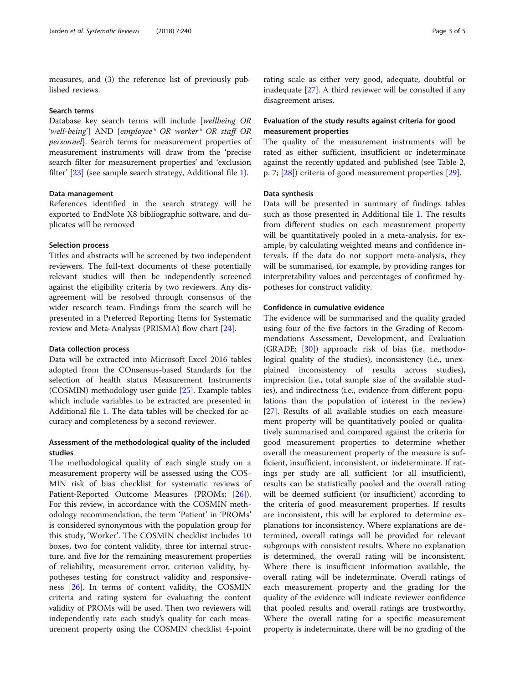measures, and (3) the reference list of previously published reviews.

## Search terms

Database key search terms will include [wellbeing OR 'well-being'] AND [employee\* OR worker\* OR staff OR personnel]. Search terms for measurement properties of measurement instruments will draw from the 'precise search filter for measurement properties' and 'exclusion filter' [\[23](#page-3-0)] (see sample search strategy, Additional file [1](#page-3-0)).

## Data management

References identified in the search strategy will be exported to EndNote X8 bibliographic software, and duplicates will be removed

## Selection process

Titles and abstracts will be screened by two independent reviewers. The full-text documents of these potentially relevant studies will then be independently screened against the eligibility criteria by two reviewers. Any disagreement will be resolved through consensus of the wider research team. Findings from the search will be presented in a Preferred Reporting Items for Systematic review and Meta-Analysis (PRISMA) flow chart [\[24](#page-3-0)].

## Data collection process

Data will be extracted into Microsoft Excel 2016 tables adopted from the COnsensus-based Standards for the selection of health status Measurement Instruments (COSMIN) methodology user guide [[25](#page-4-0)]. Example tables which include variables to be extracted are presented in Additional file [1.](#page-3-0) The data tables will be checked for accuracy and completeness by a second reviewer.

## Assessment of the methodological quality of the included studies

The methodological quality of each single study on a measurement property will be assessed using the COS-MIN risk of bias checklist for systematic reviews of Patient-Reported Outcome Measures (PROMs; [\[26](#page-4-0)]). For this review, in accordance with the COSMIN methodology recommendation, the term 'Patient' in 'PROMs' is considered synonymous with the population group for this study, 'Worker'. The COSMIN checklist includes 10 boxes, two for content validity, three for internal structure, and five for the remaining measurement properties of reliability, measurement error, criterion validity, hypotheses testing for construct validity and responsiveness [[26\]](#page-4-0). In terms of content validity, the COSMIN criteria and rating system for evaluating the content validity of PROMs will be used. Then two reviewers will independently rate each study's quality for each measurement property using the COSMIN checklist 4-point

rating scale as either very good, adequate, doubtful or inadequate [\[27](#page-4-0)]. A third reviewer will be consulted if any disagreement arises.

## Evaluation of the study results against criteria for good measurement properties

The quality of the measurement instruments will be rated as either sufficient, insufficient or indeterminate against the recently updated and published (see Table 2, p. 7; [\[28](#page-4-0)]) criteria of good measurement properties [[29\]](#page-4-0).

## Data synthesis

Data will be presented in summary of findings tables such as those presented in Additional file [1](#page-3-0). The results from different studies on each measurement property will be quantitatively pooled in a meta-analysis, for example, by calculating weighted means and confidence intervals. If the data do not support meta-analysis, they will be summarised, for example, by providing ranges for interpretability values and percentages of confirmed hypotheses for construct validity.

## Confidence in cumulative evidence

The evidence will be summarised and the quality graded using four of the five factors in the Grading of Recommendations Assessment, Development, and Evaluation (GRADE; [\[30](#page-4-0)]) approach: risk of bias (i.e., methodological quality of the studies), inconsistency (i.e., unexplained inconsistency of results across studies), imprecision (i.e., total sample size of the available studies), and indirectness (i.e., evidence from different populations than the population of interest in the review) [[27\]](#page-4-0). Results of all available studies on each measurement property will be quantitatively pooled or qualitatively summarised and compared against the criteria for good measurement properties to determine whether overall the measurement property of the measure is sufficient, insufficient, inconsistent, or indeterminate. If ratings per study are all sufficient (or all insufficient), results can be statistically pooled and the overall rating will be deemed sufficient (or insufficient) according to the criteria of good measurement properties. If results are inconsistent, this will be explored to determine explanations for inconsistency. Where explanations are determined, overall ratings will be provided for relevant subgroups with consistent results. Where no explanation is determined, the overall rating will be inconsistent. Where there is insufficient information available, the overall rating will be indeterminate. Overall ratings of each measurement property and the grading for the quality of the evidence will indicate reviewer confidence that pooled results and overall ratings are trustworthy. Where the overall rating for a specific measurement property is indeterminate, there will be no grading of the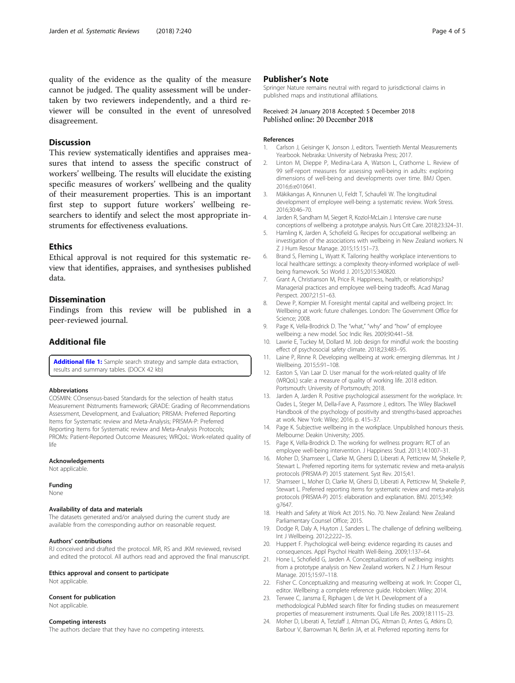<span id="page-3-0"></span>quality of the evidence as the quality of the measure cannot be judged. The quality assessment will be undertaken by two reviewers independently, and a third reviewer will be consulted in the event of unresolved disagreement.

## **Discussion**

This review systematically identifies and appraises measures that intend to assess the specific construct of workers' wellbeing. The results will elucidate the existing specific measures of workers' wellbeing and the quality of their measurement properties. This is an important first step to support future workers' wellbeing researchers to identify and select the most appropriate instruments for effectiveness evaluations.

## Ethics

Ethical approval is not required for this systematic review that identifies, appraises, and synthesises published data.

## Dissemination

Findings from this review will be published in a peer-reviewed journal.

## Additional file

[Additional file 1:](https://doi.org/10.1186/s13643-018-0905-4) Sample search strategy and sample data extraction, results and summary tables. (DOCX 42 kb)

### Abbreviations

COSMIN: COnsensus-based Standards for the selection of health status Measurement INstruments framework; GRADE: Grading of Recommendations Assessment, Development, and Evaluation; PRISMA: Preferred Reporting Items for Systematic review and Meta-Analysis; PRISMA-P: Preferred Reporting Items for Systematic review and Meta-Analysis Protocols; PROMs: Patient-Reported Outcome Measures; WRQoL: Work-related quality of life

#### Acknowledgements

Not applicable.

## Funding

None

#### Availability of data and materials

The datasets generated and/or analysed during the current study are available from the corresponding author on reasonable request.

#### Authors' contributions

RJ conceived and drafted the protocol. MR, RS and JKM reviewed, revised and edited the protocol. All authors read and approved the final manuscript.

#### Ethics approval and consent to participate

Not applicable.

#### Consent for publication

Not applicable.

## Competing interests

The authors declare that they have no competing interests.

#### Publisher's Note

Springer Nature remains neutral with regard to jurisdictional claims in published maps and institutional affiliations.

## Received: 24 January 2018 Accepted: 5 December 2018

#### References

- Carlson J, Geisinger K, Jonson J, editors. Twentieth Mental Measurements Yearbook. Nebraska: University of Nebraska Press; 2017.
- 2. Linton M, Dieppe P, Medina-Lara A, Watson L, Crathorne L. Review of 99 self-report measures for assessing well-being in adults: exploring dimensions of well-being and developments over time. BMJ Open. 2016;6:e010641.
- 3. Mäkikangas A, Kinnunen U, Feldt T, Schaufeli W. The longitudinal development of employee well-being: a systematic review. Work Stress. 2016;30:46–70.
- 4. Jarden R, Sandham M, Siegert R, Koziol-McLain J. Intensive care nurse conceptions of wellbeing: a prototype analysis. Nurs Crit Care. 2018;23:324–31.
- 5. Hamling K, Jarden A, Schofield G. Recipes for occupational wellbeing: an investigation of the associations with wellbeing in New Zealand workers. N Z J Hum Resour Manage. 2015;15:151–73.
- 6. Brand S, Fleming L, Wyatt K. Tailoring healthy workplace interventions to local healthcare settings: a complexity theory-informed workplace of wellbeing framework. Sci World J. 2015;2015:340820.
- 7. Grant A, Christianson M, Price R. Happiness, health, or relationships? Managerial practices and employee well-being tradeoffs. Acad Manag Perspect. 2007;21:51–63.
- 8. Dewe P, Kompier M. Foresight mental capital and wellbeing project. In: Wellbeing at work: future challenges. London: The Government Office for Science; 2008.
- 9. Page K, Vella-Brodrick D. The "what," "why" and "how" of employee wellbeing: a new model. Soc Indic Res. 2009;90:441–58.
- 10. Lawrie E, Tuckey M, Dollard M. Job design for mindful work: the boosting effect of psychosocial safety climate. 2018;23:483–95.
- 11. Laine P, Rinne R. Developing wellbeing at work: emerging dilemmas. Int J Wellbeing. 2015;5:91–108.
- 12. Easton S, Van Laar D. User manual for the work-related quality of life (WRQoL) scale: a measure of quality of working life. 2018 edition. Portsmouth: University of Portsmouth; 2018.
- 13. Jarden A, Jarden R. Positive psychological assessment for the workplace. In: Oades L, Steger M, Della-Fave A, Passmore J, editors. The Wiley Blackwell Handbook of the psychology of positivity and strengths-based approaches at work. New York: Wiley; 2016. p. 415–37.
- 14. Page K. Subjective wellbeing in the workplace. Unpublished honours thesis. Melbourne: Deakin University; 2005.
- 15. Page K, Vella-Brodrick D. The working for wellness program: RCT of an employee well-being intervention. J Happiness Stud. 2013;14:1007–31.
- 16. Moher D, Shamseer L, Clarke M, Ghersi D, Liberati A, Petticrew M, Shekelle P, Stewart L. Preferred reporting items for systematic review and meta-analysis protocols (PRISMA-P) 2015 statement. Syst Rev. 2015;4:1.
- 17. Shamseer L, Moher D, Clarke M, Ghersi D, Liberati A, Petticrew M, Shekelle P, Stewart L. Preferred reporting items for systematic review and meta-analysis protocols (PRISMA-P) 2015: elaboration and explanation. BMJ. 2015;349: g7647.
- 18. Health and Safety at Work Act 2015. No. 70. New Zealand: New Zealand Parliamentary Counsel Office; 2015.
- 19. Dodge R, Daly A, Huyton J, Sanders L. The challenge of defining wellbeing. Int J Wellbeing. 2012;2:222–35.
- 20. Huppert F. Psychological well-being: evidence regarding its causes and consequences. Appl Psychol Health Well-Being. 2009;1:137–64.
- 21. Hone L, Schofield G, Jarden A. Conceptualizations of wellbeing: insights from a prototype analysis on New Zealand workers. N Z J Hum Resour Manage. 2015;15:97–118.
- 22. Fisher C. Conceptualizing and measuring wellbeing at work. In: Cooper CL, editor. Wellbeing: a complete reference guide. Hoboken: Wiley; 2014.
- 23. Terwee C, Jansma E, Riphagen I, de Vet H. Development of a methodological PubMed search filter for finding studies on measurement properties of measurement instruments. Qual Life Res. 2009;18:1115–23.
- 24. Moher D, Liberati A, Tetzlaff J, Altman DG, Altman D, Antes G, Atkins D, Barbour V, Barrowman N, Berlin JA, et al. Preferred reporting items for